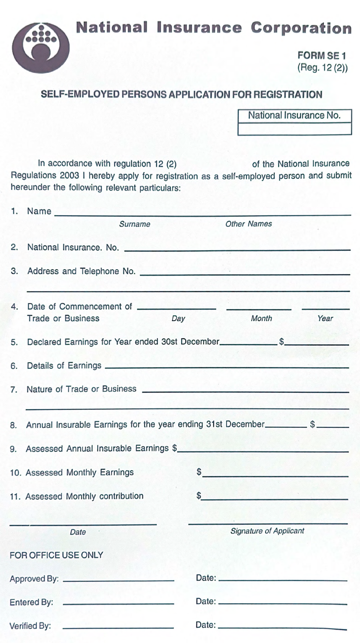**National Insurance Corporation** 



**FORM SE1** (Reg. 12(2))

## SELF-EMPLOYED PERSONS APPLICATION FOR REGISTRATION

National Insurance No.

In accordance with regulation 12 (2) of the National Insurance Regulations 2003 I hereby apply for registration as a self-employed person and submit hereunder the following relevant particulars:

|                                              | 1. Name                                                                                                                                                                                                                             |                                                                                                                                                                                                                                              |             |
|----------------------------------------------|-------------------------------------------------------------------------------------------------------------------------------------------------------------------------------------------------------------------------------------|----------------------------------------------------------------------------------------------------------------------------------------------------------------------------------------------------------------------------------------------|-------------|
|                                              | Surname                                                                                                                                                                                                                             | <b>Other Names</b>                                                                                                                                                                                                                           |             |
| 2.                                           | National Insurance. No. <b>Constanting and Separate Active Active Active Activities</b>                                                                                                                                             |                                                                                                                                                                                                                                              |             |
| З.                                           | Address and Telephone No. <b>Manual Address and Telephone No.</b> 1996.                                                                                                                                                             |                                                                                                                                                                                                                                              |             |
| 4.                                           | Day<br><b>Trade or Business</b>                                                                                                                                                                                                     | Month                                                                                                                                                                                                                                        | 362<br>Year |
| 5.                                           |                                                                                                                                                                                                                                     |                                                                                                                                                                                                                                              |             |
| 6.                                           | Details of Earnings <u>experiences</u>                                                                                                                                                                                              |                                                                                                                                                                                                                                              |             |
| 7.                                           | Nature of Trade or Business <b>Constitution</b> and the construction of the construction of the construction of the construction of the construction of the construction of the construction of the construction of the constructio |                                                                                                                                                                                                                                              |             |
| 8.                                           | Annual Insurable Earnings for the year ending 31st December____________ \$                                                                                                                                                          |                                                                                                                                                                                                                                              |             |
|                                              | 9. Assessed Annual Insurable Earnings \$                                                                                                                                                                                            |                                                                                                                                                                                                                                              |             |
|                                              | 10. Assessed Monthly Earnings                                                                                                                                                                                                       | $\frac{1}{2}$ . The state of the state of the state of the state of the state of the state of the state of the state of the state of the state of the state of the state of the state of the state of the state of the state of t            |             |
|                                              | 11. Assessed Monthly contribution                                                                                                                                                                                                   | $\textcolor{red}{\textbf{S}}$ is the set of the set of the set of the set of the set of the set of the set of the set of the set of the set of the set of the set of the set of the set of the set of the set of the set of the set of the s |             |
|                                              | Date                                                                                                                                                                                                                                | <b>Signature of Applicant</b>                                                                                                                                                                                                                |             |
|                                              | FOR OFFICE USE ONLY                                                                                                                                                                                                                 |                                                                                                                                                                                                                                              |             |
|                                              |                                                                                                                                                                                                                                     |                                                                                                                                                                                                                                              |             |
|                                              |                                                                                                                                                                                                                                     | Date: 2008 2010 2010 2021 2022 2023 2024 2022 2023 2024 2022 2023 2024 2022 2023 2024 2022 2023 2024 2022 2023                                                                                                                               |             |
| Verified By:<br><b>CONTRACTOR</b> CONTRACTOR |                                                                                                                                                                                                                                     | Date: <u>Date:</u>                                                                                                                                                                                                                           |             |